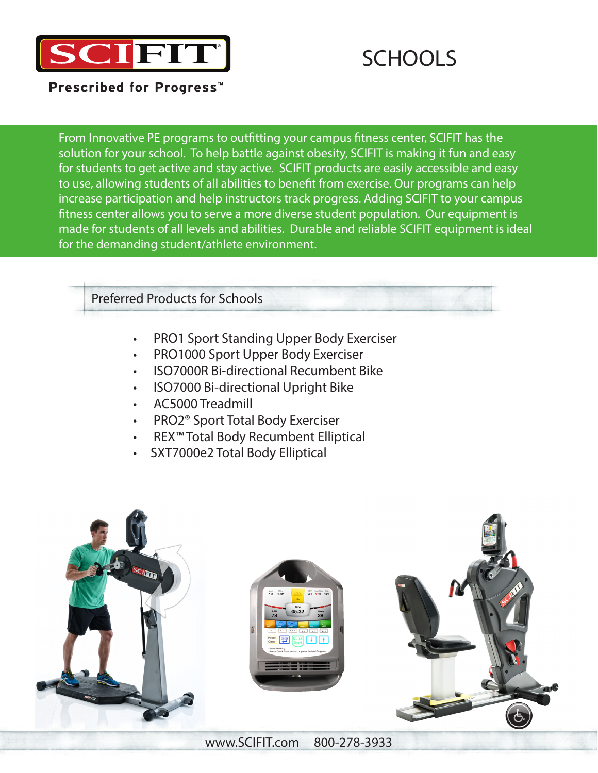

# **SCHOOLS**

**Prescribed for Progress™** 

From Innovative PE programs to outfitting your campus fitness center, SCIFIT has the solution for your school. To help battle against obesity, SCIFIT is making it fun and easy for students to get active and stay active. SCIFIT products are easily accessible and easy to use, allowing students of all abilities to benefit from exercise. Our programs can help increase participation and help instructors track progress. Adding SCIFIT to your campus fitness center allows you to serve a more diverse student population. Our equipment is made for students of all levels and abilities. Durable and reliable SCIFIT equipment is ideal for the demanding student/athlete environment.

Preferred Products for Schools

- PRO1 Sport Standing Upper Body Exerciser
- PRO1000 Sport Upper Body Exerciser
- ISO7000R Bi-directional Recumbent Bike
- ISO7000 Bi-directional Upright Bike
- AC5000 Treadmill
- PRO2® Sport Total Body Exerciser
- REX™ Total Body Recumbent Elliptical
- SXT7000e2 Total Body Elliptical